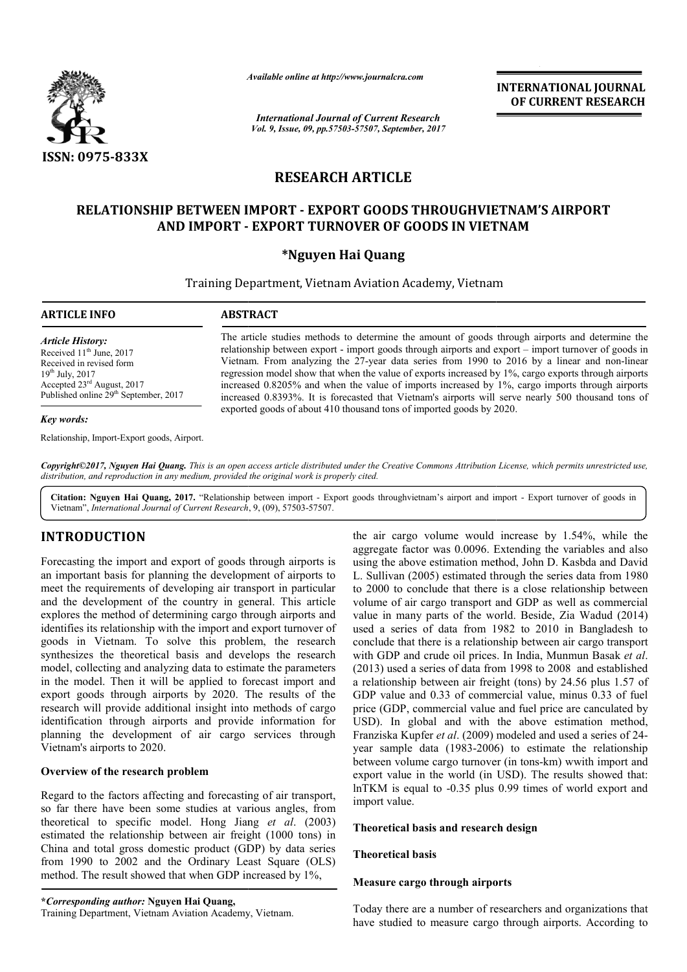

*Available online at http://www.journal http://www.journalcra.com*

*International Journal of Current Research Vol. 9, Issue, 09, pp.57503-57507, September, 2017* **INTERNATIONAL JOURNAL OF CURRENT RESEARCH** 

# **RESEARCH ARTICLE**

# **RELATIONSHIP BETWEEN IMPORT - EXPORT GOODS THROUGHVIETNAM'S AIRPORT AND IMPORT - EXPORT TURNOVER OF GOODS IN VIETNAM**

# **\*Nguyen Hai Quang**

Training Department, Vietnam Aviation Academy, Vietnam

**ARTICLE INFO ABSTRACT**

*Article History:* Received  $11<sup>th</sup>$  June, 2017 Received in revised form 19th July, 2017 Accepted 23rd August, 2017 Published online 29<sup>th</sup> September, 2017

## *Key words:*

Relationship, Import-Export goods, Airport.

The article studies methods to determine the amount of goods through airports and determine the The article studies methods to determine the amount of goods through airports and determine the relationship between export - import goods through airports and export – import turnover of goods in Vietnam. From analyzing the 27-year data series from 1990 to 2016 by a linear and non-linear regression model show that when the value of exports increased by 1%, cargo exports through airports increased 0.8205% and when the value of imports increased by 1%, cargo imports through airports increas increased 0.8393%. It is forecasted that Vietnam's airports will serve nearly 500 thousand tons of exported goods of about 410 thousand tons of imported goods by 2020. regression model show that when the value of exports increased by 1%, cargo exports through airpoincreased 0.8205% and when the value of imports increased by 1%, cargo imports through airpoincreased 0.8393%. It is forecast

*Copyright©2017, Nguyen Hai Quang. This is an open access article distributed under the Creative Commons Attribution License, which ribution permits unrestricted use, distribution, and reproduction in any medium, provided the original work is properly cited.*

Citation: Nguyen Hai Quang, 2017. "Relationship between import - Export goods throughvietnam's airport and import - Export turnover of goods in Vietnam", *International Journal of Current Research* , 9, (09), 57503-57507.

# **INTRODUCTION**

Forecasting the import and export of goods through airports is an important basis for planning the development of airports to meet the requirements of developing air transport in particular and the development of the country in general. This article explores the method of determining cargo through airports and identifies its relationship with the import and export turnover of goods in Vietnam. To solve this problem, the research synthesizes the theoretical basis and develops the research model, collecting and analyzing data to estimate the parameter parameters in the model. Then it will be applied to forecast import and export goods through airports by 2020. The results of the research will provide additional insight into methods of cargo identification through airports and provide information for planning the development of air cargo services through Vietnam's airports to 2020.

# **Overview of the research problem**

Regard to the factors affecting and forecasting of air transport, so far there have been some studies at various angles, from theoretical to specific model. Hong Jiang *et al*. (2003) estimated the relationship between air freight (1000 tons) in China and total gross domestic product (GDP) by data series from 1990 to 2002 and the Ordinary Least Square (OLS) method. The result showed that when GDP increased by 1%, tal gross domestic product (GDP) by da<br>o 2002 and the Ordinary Least Squar<br>result showed that when GDP increased b<br>g *author*: Nguyen Hai Quang,<br>tment, Vietnam Aviation Academy, Vietnam.

the air cargo volume would increase by 1.54%, while the aggregate factor was 0.0096. Extending the variables and also using the above estimation method, John D. Kasbda L. Sullivan (2005) estimated through the series data from 1980 to 2000 to conclude that there is a close relationship between volume of air cargo transport and GDP as well as commercial value in many parts of the world. Beside, Zia Wadud (2014) used a series of data from 1982 to 2010 in Bangladesh to conclude that there is a relationship between air cargo transport with GDP and crude oil prices. In India, Munmun Basak et al. (2013) used a series of data from 1998 to 2008 and established a relationship between air freight (tons) by 24.56 plus 1.57 of GDP value and 0.33 of commercial value, minus 0.33 of fuel price (GDP, commercial value and fuel price are canculated by USD). In global and with the above estimation method, Franziska Kupfer *et al*. (2009) modeled and used a series of 24 year sample data (1983-2006) to estimate the relationship year sample data (1983-2006) to estimate the relationship<br>between volume cargo turnover (in tons-km) wwith import and export value in the world (in USD). The results showed that: export value in the world (in USD). The results showed that:<br>lnTKM is equal to -0.35 plus 0.99 times of world export and import value. in cargo volume would increase by 1.54%, while the gate factor was 0.0096. Extending the variables and also the above estimation method, John D. Kasbda and David L. Sullivan (2005) estimated through the series data from 1980 to 2000 to conclude that there is a close relationship between volume of air cargo transport and GDP as well as commercial value in many parts of the world. Be used a series of data from 1998 to 2008 and established<br>onship between air freight (tons) by 24.56 plus 1.57 of<br>alue and 0.33 of commercial value, minus 0.33 of fuel<br>GDP, commercial value and fuel price are canculated by<br> researchers that airports. According

# **Theoretical basis and research design and research**

# **Theoretical basis**

# **Measure cargo through airports**

Today there are a number of researchers and organizations that have studied to measure cargo through airports. According to

**<sup>\*</sup>***Corresponding author:* **Nguyen Hai Quang,**

Training Department, Vietnam Aviation Academy, Vietna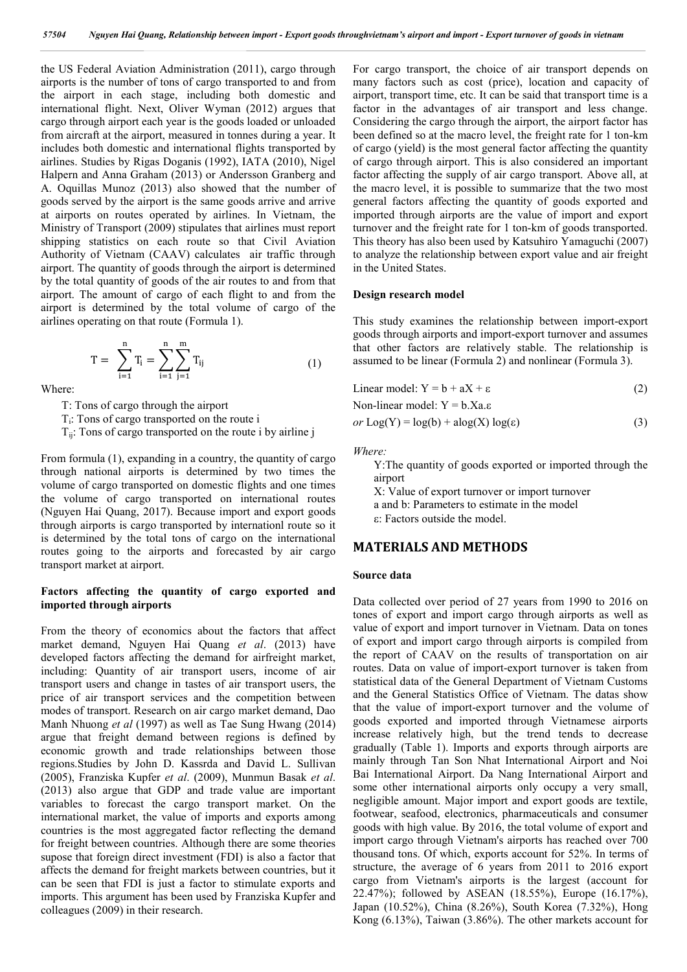the US Federal Aviation Administration (2011), cargo through airports is the number of tons of cargo transported to and from the airport in each stage, including both domestic and international flight. Next, Oliver Wyman (2012) argues that cargo through airport each year is the goods loaded or unloaded from aircraft at the airport, measured in tonnes during a year. It includes both domestic and international flights transported by airlines. Studies by Rigas Doganis (1992), IATA (2010), Nigel Halpern and Anna Graham (2013) or Andersson Granberg and A. Oquillas Munoz (2013) also showed that the number of goods served by the airport is the same goods arrive and arrive at airports on routes operated by airlines. In Vietnam, the Ministry of Transport (2009) stipulates that airlines must report shipping statistics on each route so that Civil Aviation Authority of Vietnam (CAAV) calculates air traffic through airport. The quantity of goods through the airport is determined by the total quantity of goods of the air routes to and from that airport. The amount of cargo of each flight to and from the airport is determined by the total volume of cargo of the airlines operating on that route (Formula 1).

$$
T = \sum_{i=1}^{n} T_i = \sum_{i=1}^{n} \sum_{j=1}^{m} T_{ij}
$$
 (1)

Where:

T: Tons of cargo through the airport

Ti: Tons of cargo transported on the route i

 $T_{ij}$ : Tons of cargo transported on the route i by airline j

From formula (1), expanding in a country, the quantity of cargo through national airports is determined by two times the volume of cargo transported on domestic flights and one times the volume of cargo transported on international routes (Nguyen Hai Quang, 2017). Because import and export goods through airports is cargo transported by internationl route so it is determined by the total tons of cargo on the international routes going to the airports and forecasted by air cargo transport market at airport.

## **Factors affecting the quantity of cargo exported and imported through airports**

From the theory of economics about the factors that affect market demand, Nguyen Hai Quang *et al*. (2013) have developed factors affecting the demand for airfreight market, including: Quantity of air transport users, income of air transport users and change in tastes of air transport users, the price of air transport services and the competition between modes of transport. Research on air cargo market demand, Dao Manh Nhuong *et al* (1997) as well as Tae Sung Hwang (2014) argue that freight demand between regions is defined by economic growth and trade relationships between those regions.Studies by John D. Kassrda and David L. Sullivan (2005), Franziska Kupfer *et al*. (2009), Munmun Basak *et al*. (2013) also argue that GDP and trade value are important variables to forecast the cargo transport market. On the international market, the value of imports and exports among countries is the most aggregated factor reflecting the demand for freight between countries. Although there are some theories supose that foreign direct investment (FDI) is also a factor that affects the demand for freight markets between countries, but it can be seen that FDI is just a factor to stimulate exports and imports. This argument has been used by Franziska Kupfer and colleagues (2009) in their research.

For cargo transport, the choice of air transport depends on many factors such as cost (price), location and capacity of airport, transport time, etc. It can be said that transport time is a factor in the advantages of air transport and less change. Considering the cargo through the airport, the airport factor has been defined so at the macro level, the freight rate for 1 ton-km of cargo (yield) is the most general factor affecting the quantity of cargo through airport. This is also considered an important factor affecting the supply of air cargo transport. Above all, at the macro level, it is possible to summarize that the two most general factors affecting the quantity of goods exported and imported through airports are the value of import and export turnover and the freight rate for 1 ton-km of goods transported. This theory has also been used by Katsuhiro Yamaguchi (2007) to analyze the relationship between export value and air freight in the United States.

### **Design research model**

This study examines the relationship between import-export goods through airports and import-export turnover and assumes that other factors are relatively stable. The relationship is assumed to be linear (Formula 2) and nonlinear (Formula 3).

$$
Linear model: Y = b + aX + \varepsilon
$$
 (2)

Non-linear model: 
$$
Y = b.Xa.\varepsilon
$$

 $or$   $Log(Y) = log(b) + alog(X) log(\varepsilon)$  (3)

*Where:*

Y:The quantity of goods exported or imported through the airport

X: Value of export turnover or import turnover a and b: Parameters to estimate in the model

# : Factors outside the model.

# **MATERIALS AND METHODS**

#### **Source data**

Data collected over period of 27 years from 1990 to 2016 on tones of export and import cargo through airports as well as value of export and import turnover in Vietnam. Data on tones of export and import cargo through airports is compiled from the report of CAAV on the results of transportation on air routes. Data on value of import-export turnover is taken from statistical data of the General Department of Vietnam Customs and the General Statistics Office of Vietnam. The datas show that the value of import-export turnover and the volume of goods exported and imported through Vietnamese airports increase relatively high, but the trend tends to decrease gradually (Table 1). Imports and exports through airports are mainly through Tan Son Nhat International Airport and Noi Bai International Airport. Da Nang International Airport and some other international airports only occupy a very small, negligible amount. Major import and export goods are textile, footwear, seafood, electronics, pharmaceuticals and consumer goods with high value. By 2016, the total volume of export and import cargo through Vietnam's airports has reached over 700 thousand tons. Of which, exports account for 52%. In terms of structure, the average of 6 years from 2011 to 2016 export cargo from Vietnam's airports is the largest (account for 22.47%); followed by ASEAN (18.55%), Europe (16.17%), Japan (10.52%), China (8.26%), South Korea (7.32%), Hong Kong (6.13%), Taiwan (3.86%). The other markets account for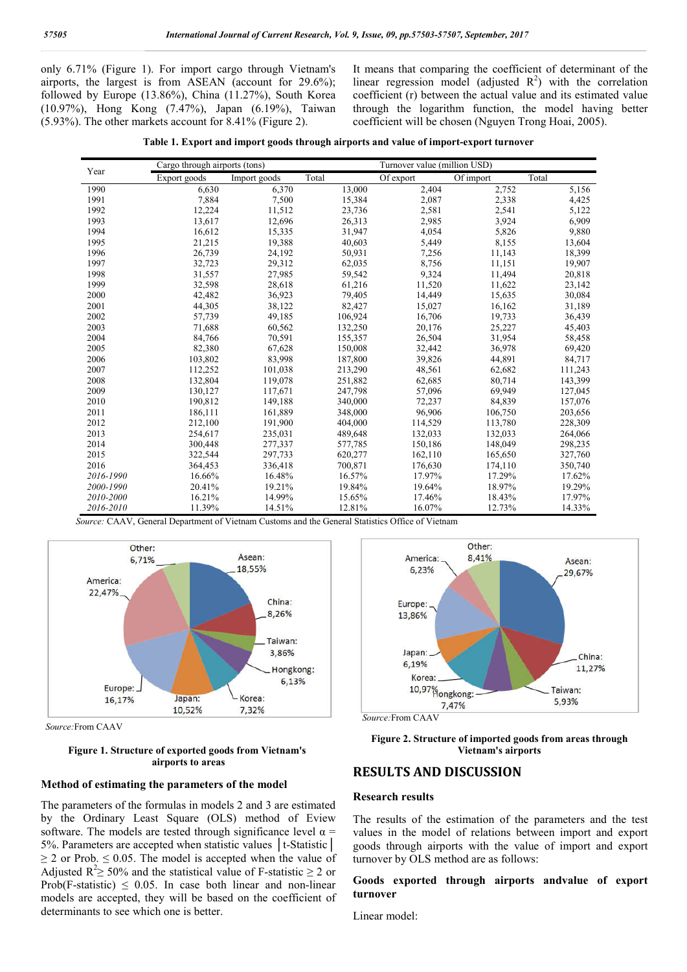only 6.71% (Figure 1). For import cargo through Vietnam's airports, the largest is from ASEAN (account for 29.6%); followed by Europe (13.86%), China (11.27%), South Korea (10.97%), Hong Kong (7.47%), Japan (6.19%), Taiwan (5.93%). The other markets account for 8.41% (Figure 2).

It means that comparing the coefficient of determinant of the linear regression model (adjusted  $R^2$ ) with the correlation coefficient (r) between the actual value and its estimated value through the logarithm function, the model having better coefficient will be chosen (Nguyen Trong Hoai, 2005).

|  |  |  |  | Table 1. Export and import goods through airports and value of import-export turnover |
|--|--|--|--|---------------------------------------------------------------------------------------|
|  |  |  |  |                                                                                       |

|           | Cargo through airports (tons) |              |         | Turnover value (million USD) |           |         |  |
|-----------|-------------------------------|--------------|---------|------------------------------|-----------|---------|--|
| Year      | Export goods                  | Import goods | Total   | Of export                    | Of import | Total   |  |
| 1990      | 6,630                         | 6,370        | 13,000  | 2,404                        | 2,752     | 5,156   |  |
| 1991      | 7,884                         | 7,500        | 15,384  | 2,087                        | 2,338     | 4,425   |  |
| 1992      | 12,224                        | 11,512       | 23,736  | 2,581                        | 2,541     | 5,122   |  |
| 1993      | 13,617                        | 12,696       | 26,313  | 2,985                        | 3,924     | 6,909   |  |
| 1994      | 16,612                        | 15,335       | 31,947  | 4,054                        | 5,826     | 9,880   |  |
| 1995      | 21,215                        | 19,388       | 40,603  | 5,449                        | 8,155     | 13,604  |  |
| 1996      | 26,739                        | 24,192       | 50,931  | 7,256                        | 11,143    | 18,399  |  |
| 1997      | 32,723                        | 29,312       | 62,035  | 8,756                        | 11,151    | 19,907  |  |
| 1998      | 31,557                        | 27,985       | 59,542  | 9,324                        | 11,494    | 20,818  |  |
| 1999      | 32,598                        | 28,618       | 61,216  | 11,520                       | 11,622    | 23,142  |  |
| 2000      | 42,482                        | 36,923       | 79,405  | 14,449                       | 15,635    | 30,084  |  |
| 2001      | 44,305                        | 38,122       | 82,427  | 15,027                       | 16,162    | 31,189  |  |
| 2002      | 57,739                        | 49,185       | 106,924 | 16,706                       | 19,733    | 36,439  |  |
| 2003      | 71,688                        | 60,562       | 132,250 | 20,176                       | 25,227    | 45,403  |  |
| 2004      | 84,766                        | 70,591       | 155,357 | 26,504                       | 31,954    | 58,458  |  |
| 2005      | 82,380                        | 67,628       | 150,008 | 32,442                       | 36,978    | 69,420  |  |
| 2006      | 103,802                       | 83,998       | 187,800 | 39,826                       | 44,891    | 84,717  |  |
| 2007      | 112,252                       | 101,038      | 213,290 | 48,561                       | 62,682    | 111,243 |  |
| 2008      | 132,804                       | 119,078      | 251,882 | 62,685                       | 80,714    | 143,399 |  |
| 2009      | 130,127                       | 117,671      | 247,798 | 57,096                       | 69,949    | 127,045 |  |
| 2010      | 190,812                       | 149,188      | 340,000 | 72,237                       | 84,839    | 157,076 |  |
| 2011      | 186,111                       | 161,889      | 348,000 | 96,906                       | 106,750   | 203,656 |  |
| 2012      | 212,100                       | 191,900      | 404,000 | 114,529                      | 113,780   | 228,309 |  |
| 2013      | 254,617                       | 235,031      | 489,648 | 132,033                      | 132,033   | 264,066 |  |
| 2014      | 300,448                       | 277,337      | 577,785 | 150,186                      | 148,049   | 298,235 |  |
| 2015      | 322,544                       | 297,733      | 620,277 | 162,110                      | 165,650   | 327,760 |  |
| 2016      | 364,453                       | 336,418      | 700,871 | 176,630                      | 174,110   | 350,740 |  |
| 2016-1990 | 16.66%                        | 16.48%       | 16.57%  | 17.97%                       | 17.29%    | 17.62%  |  |
| 2000-1990 | 20.41%                        | 19.21%       | 19.84%  | 19.64%                       | 18.97%    | 19.29%  |  |
| 2010-2000 | 16.21%                        | 14.99%       | 15.65%  | 17.46%                       | 18.43%    | 17.97%  |  |
| 2016-2010 | 11.39%                        | 14.51%       | 12.81%  | 16.07%                       | 12.73%    | 14.33%  |  |

 *Source:* CAAV, General Department of Vietnam Customs and the General Statistics Office of Vietnam



 *Source:*From CAAV

## **Figure 1. Structure of exported goods from Vietnam's airports to areas**

#### **Method of estimating the parameters of the model**

The parameters of the formulas in models 2 and 3 are estimated by the Ordinary Least Square (OLS) method of Eview software. The models are tested through significance level  $\alpha$  = 5%. Parameters are accepted when statistic values │t-Statistic│  $\geq$  2 or Prob.  $\leq$  0.05. The model is accepted when the value of Adjusted  $\mathbb{R}^2 \ge 50\%$  and the statistical value of F-statistic  $\ge 2$  or Prob(F-statistic)  $\leq$  0.05. In case both linear and non-linear models are accepted, they will be based on the coefficient of determinants to see which one is better.



 *Source:*From CAAV

**Figure 2. Structure of imported goods from areas through Vietnam's airports**

# **RESULTS AND DISCUSSION**

# **Research results**

The results of the estimation of the parameters and the test values in the model of relations between import and export goods through airports with the value of import and export turnover by OLS method are as follows:

# **Goods exported through airports andvalue of export turnover**

Linear model: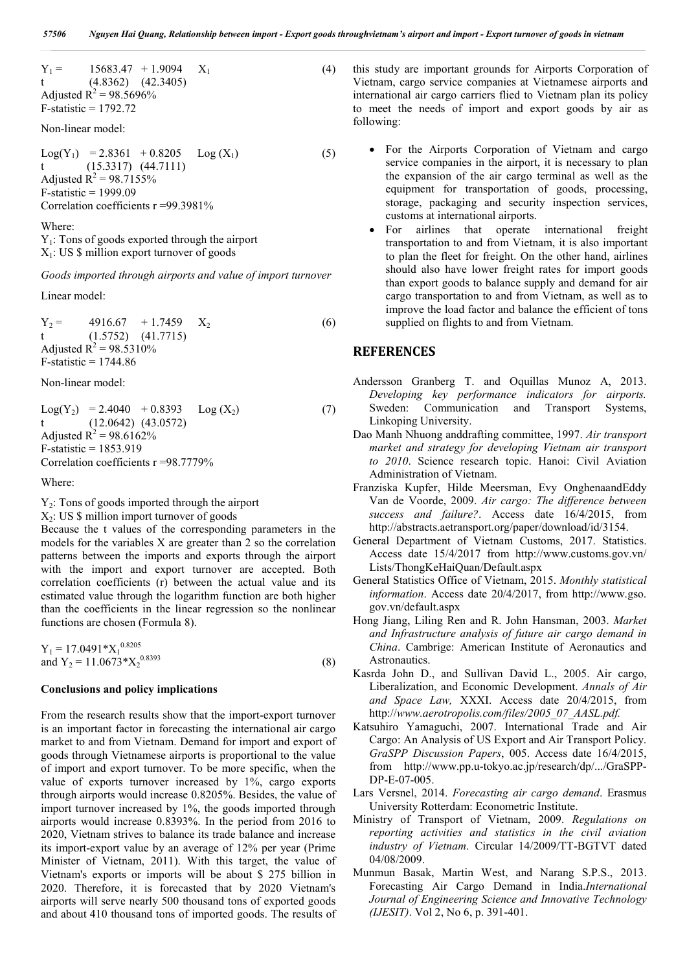$Y_1 = 15683.47 + 1.9094 \t X_1$  (4) t (4.8362) (42.3405) Adjusted  $R^2 = 98.5696\%$ F-statistic = 1792.72

Non-linear model:

 $Log(Y_1) = 2.8361 + 0.8205 Log(X_1)$  (5) t (15.3317) (44.7111) Adjusted  $R^2 = 98.7155\%$  $F-statistic = 1999.09$ Correlation coefficients r =99.3981%

#### Where:

Y1: Tons of goods exported through the airport

 $X_1$ : US \$ million export turnover of goods

*Goods imported through airports and value of import turnover*

Linear model:

 $Y_2 = 4916.67 + 1.7459 X_2$  (6) t (1.5752) (41.7715) Adjusted  $R^2 = 98.5310\%$  $F-statistic = 1744.86$ 

Non-linear model:

 $Log(Y_2) = 2.4040 + 0.8393$   $Log(X_2)$  (7) t (12.0642) (43.0572) Adjusted  $R^2 = 98.6162\%$ F-statistic = 1853.919 Correlation coefficients r =98.7779%

Where:

 $Y_2$ : Tons of goods imported through the airport

 $X_2$ : US \$ million import turnover of goods

Because the t values of the corresponding parameters in the models for the variables X are greater than 2 so the correlation patterns between the imports and exports through the airport with the import and export turnover are accepted. Both correlation coefficients (r) between the actual value and its estimated value through the logarithm function are both higher than the coefficients in the linear regression so the nonlinear functions are chosen (Formula 8).

 $Y_1 = 17.0491 * X_1^{0.8205}$ and  $Y_2 = 11.0673 \times X_2^{0.8393}$  (8)

#### **Conclusions and policy implications**

From the research results show that the import-export turnover is an important factor in forecasting the international air cargo market to and from Vietnam. Demand for import and export of goods through Vietnamese airports is proportional to the value of import and export turnover. To be more specific, when the value of exports turnover increased by 1%, cargo exports through airports would increase 0.8205%. Besides, the value of import turnover increased by 1%, the goods imported through airports would increase 0.8393%. In the period from 2016 to 2020, Vietnam strives to balance its trade balance and increase its import-export value by an average of 12% per year (Prime Minister of Vietnam, 2011). With this target, the value of Vietnam's exports or imports will be about \$ 275 billion in 2020. Therefore, it is forecasted that by 2020 Vietnam's airports will serve nearly 500 thousand tons of exported goods and about 410 thousand tons of imported goods. The results of this study are important grounds for Airports Corporation of Vietnam, cargo service companies at Vietnamese airports and international air cargo carriers flied to Vietnam plan its policy to meet the needs of import and export goods by air as following:

- For the Airports Corporation of Vietnam and cargo service companies in the airport, it is necessary to plan the expansion of the air cargo terminal as well as the equipment for transportation of goods, processing, storage, packaging and security inspection services, customs at international airports.
- For airlines that operate international freight transportation to and from Vietnam, it is also important to plan the fleet for freight. On the other hand, airlines should also have lower freight rates for import goods than export goods to balance supply and demand for air cargo transportation to and from Vietnam, as well as to improve the load factor and balance the efficient of tons supplied on flights to and from Vietnam.

# **REFERENCES**

- Andersson Granberg T. and Oquillas Munoz A, 2013. *Developing key performance indicators for airports.* Sweden: Communication and Transport Systems, Linkoping University.
- Dao Manh Nhuong anddrafting committee, 1997. *Air transport market and strategy for developing Vietnam air transport to 2010*. Science research topic. Hanoi: Civil Aviation Administration of Vietnam.
- Franziska Kupfer, Hilde Meersman, Evy OnghenaandEddy Van de Voorde, 2009. *Air cargo: The difference between success and failure?*. Access date 16/4/2015, from http://abstracts.aetransport.org/paper/download/id/3154.
- General Department of Vietnam Customs, 2017. Statistics. Access date 15/4/2017 from http://www.customs.gov.vn/ Lists/ThongKeHaiQuan/Default.aspx
- General Statistics Office of Vietnam, 2015. *Monthly statistical information*. Access date 20/4/2017, from http://www.gso. gov.vn/default.aspx
- Hong Jiang, Liling Ren and R. John Hansman, 2003. *Market and Infrastructure analysis of future air cargo demand in China*. Cambrige: American Institute of Aeronautics and Astronautics.
- Kasrda John D., and Sullivan David L., 2005. Air cargo, Liberalization, and Economic Development. *Annals of Air and Space Law,* XXXI. Access date 20/4/2015, from http://*www.aerotropolis.com/files/2005\_07\_AASL.pdf.*
- Katsuhiro Yamaguchi, 2007. International Trade and Air Cargo: An Analysis of US Export and Air Transport Policy. *GraSPP Discussion Papers*, 005. Access date 16/4/2015, from http://www.pp.u-tokyo.ac.jp/research/dp/.../GraSPP-DP-E-07-005.
- Lars Versnel, 2014. *Forecasting air cargo demand*. Erasmus University Rotterdam: Econometric Institute.
- Ministry of Transport of Vietnam, 2009. *Regulations on reporting activities and statistics in the civil aviation industry of Vietnam*. Circular 14/2009/TT-BGTVT dated 04/08/2009.
- Munmun Basak, Martin West, and Narang S.P.S., 2013. Forecasting Air Cargo Demand in India.*International Journal of Engineering Science and Innovative Technology (IJESIT)*. Vol 2, No 6, p. 391-401.